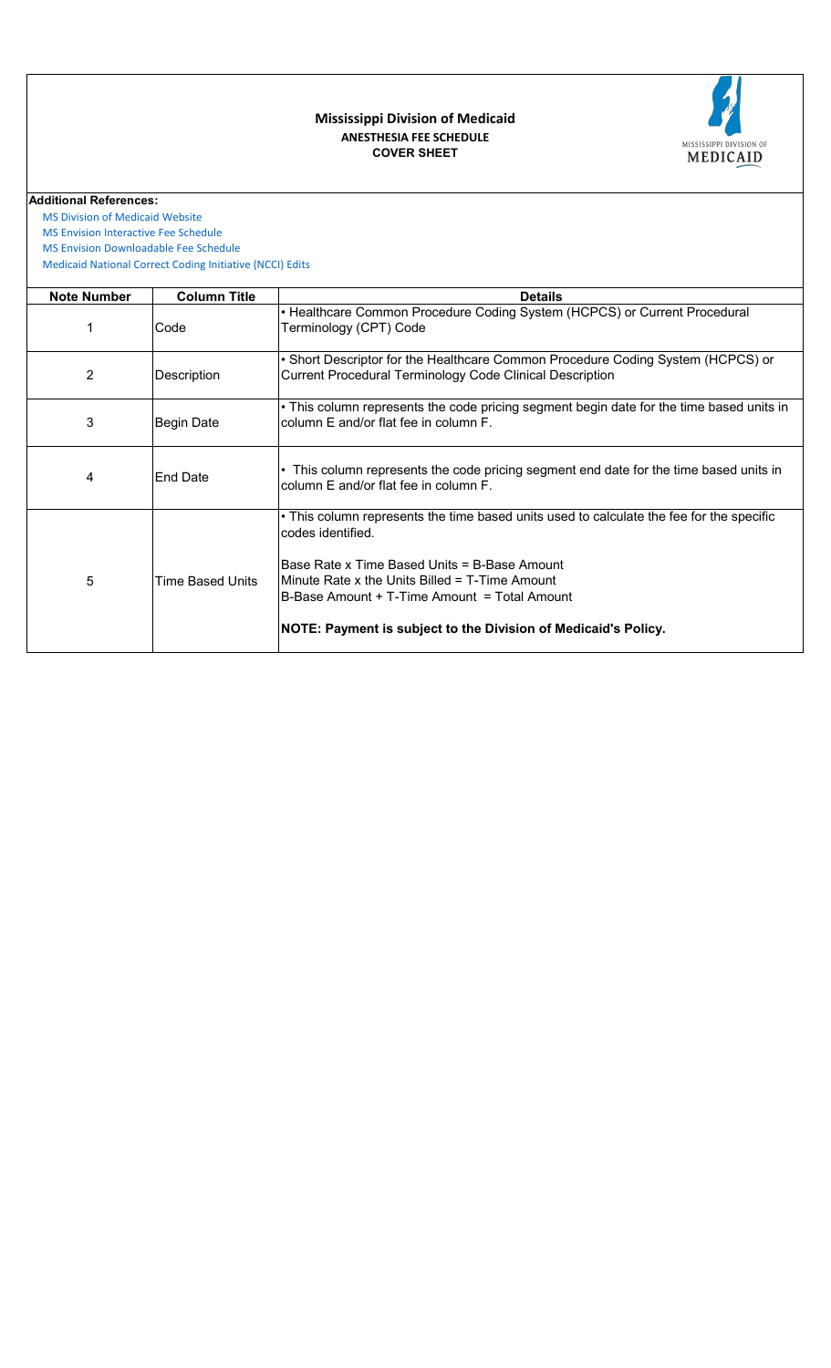

## **COVER SHEET ANESTHESIA FEE SCHEDULE Mississippi Division of Medicaid**

**Additional References:**

 [MS Division of Medicai](https://medicaid.ms.gov/)d Website

 [MS Envision Interactive](https://www.ms-medicaid.com/msenvision/feeScheduleInquiry.do) Fee Schedule

 [MS Envision Download](https://www.ms-medicaid.com/msenvision/AMA_ADA_licenseAgreement.do?strUrl=feeScheduleInquiry)able Fee Schedule

 [Medicaid National Corr](https://www.medicaid.gov/medicaid/program-integrity/national-correct-coding-initiative/medicaid-ncci-edit-files/index.html)ect Coding Initiative (NCCI) Edits

| <b>Note Number</b> | <b>Column Title</b> | <b>Details</b>                                                                                                                                                                                                                                                                                                                    |
|--------------------|---------------------|-----------------------------------------------------------------------------------------------------------------------------------------------------------------------------------------------------------------------------------------------------------------------------------------------------------------------------------|
|                    | Code                | • Healthcare Common Procedure Coding System (HCPCS) or Current Procedural<br>Terminology (CPT) Code                                                                                                                                                                                                                               |
| 2                  | Description         | • Short Descriptor for the Healthcare Common Procedure Coding System (HCPCS) or<br><b>Current Procedural Terminology Code Clinical Description</b>                                                                                                                                                                                |
| 3                  | Begin Date          | • This column represents the code pricing segment begin date for the time based units in<br>column E and/or flat fee in column F.                                                                                                                                                                                                 |
| 4                  | <b>End Date</b>     | This column represents the code pricing segment end date for the time based units in<br>column E and/or flat fee in column F.                                                                                                                                                                                                     |
| 5                  | Time Based Units    | • This column represents the time based units used to calculate the fee for the specific<br>codes identified.<br>Base Rate x Time Based Units = B-Base Amount<br>Minute Rate x the Units Billed = T-Time Amount<br>B-Base Amount + T-Time Amount = Total Amount<br>NOTE: Payment is subject to the Division of Medicaid's Policy. |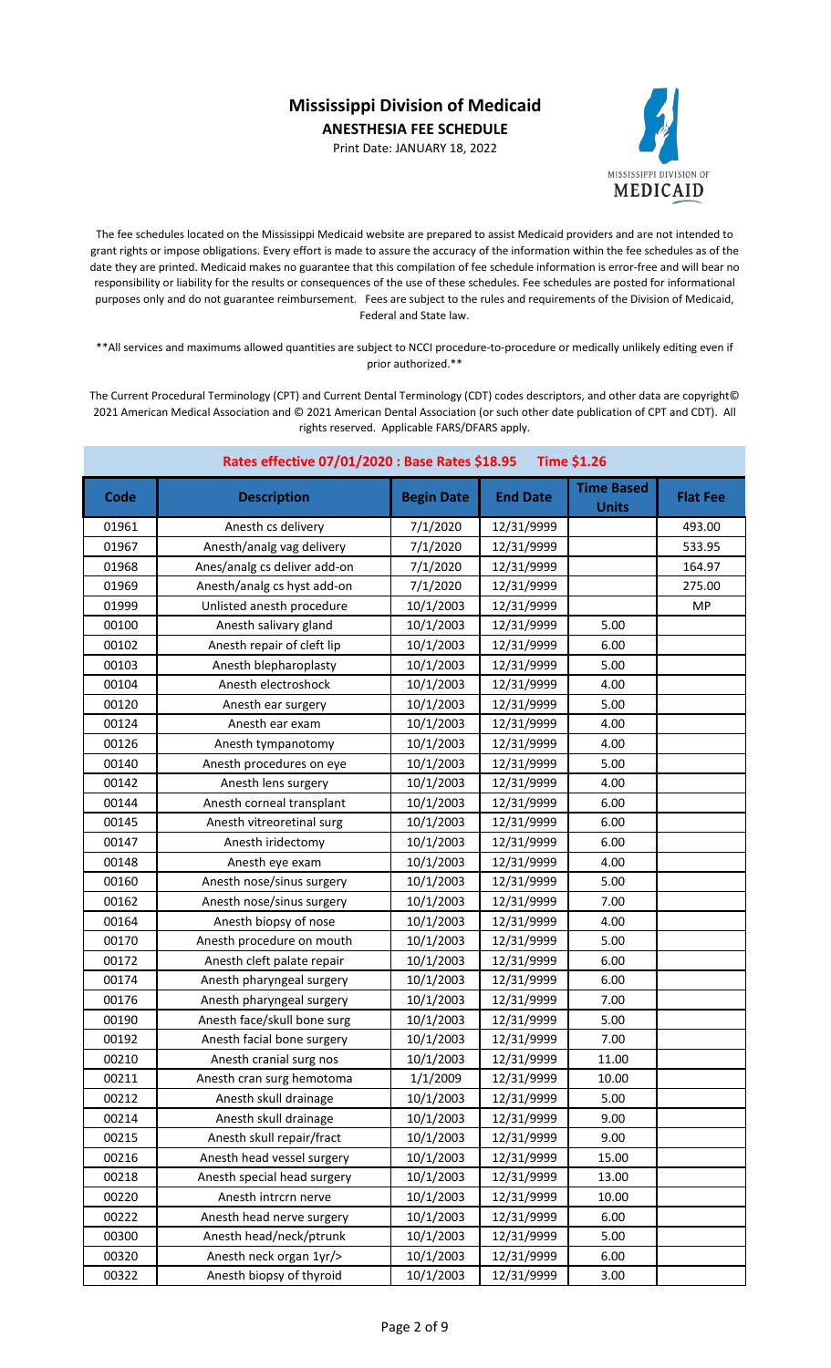Print Date: JANUARY 18, 2022



The fee schedules located on the Mississippi Medicaid website are prepared to assist Medicaid providers and are not intended to grant rights or impose obligations. Every effort is made to assure the accuracy of the information within the fee schedules as of the date they are printed. Medicaid makes no guarantee that this compilation of fee schedule information is error-free and will bear no responsibility or liability for the results or consequences of the use of these schedules. Fee schedules are posted for informational purposes only and do not guarantee reimbursement. Fees are subject to the rules and requirements of the Division of Medicaid, Federal and State law.

\*\*All services and maximums allowed quantities are subject to NCCI procedure-to-procedure or medically unlikely editing even if prior authorized.\*\*

| Rates effective 07/01/2020 : Base Rates \$18.95<br><b>Time \$1.26</b> |                              |                   |                 |                                   |                 |
|-----------------------------------------------------------------------|------------------------------|-------------------|-----------------|-----------------------------------|-----------------|
| Code                                                                  | <b>Description</b>           | <b>Begin Date</b> | <b>End Date</b> | <b>Time Based</b><br><b>Units</b> | <b>Flat Fee</b> |
| 01961                                                                 | Anesth cs delivery           | 7/1/2020          | 12/31/9999      |                                   | 493.00          |
| 01967                                                                 | Anesth/analg vag delivery    | 7/1/2020          | 12/31/9999      |                                   | 533.95          |
| 01968                                                                 | Anes/analg cs deliver add-on | 7/1/2020          | 12/31/9999      |                                   | 164.97          |
| 01969                                                                 | Anesth/analg cs hyst add-on  | 7/1/2020          | 12/31/9999      |                                   | 275.00          |
| 01999                                                                 | Unlisted anesth procedure    | 10/1/2003         | 12/31/9999      |                                   | <b>MP</b>       |
| 00100                                                                 | Anesth salivary gland        | 10/1/2003         | 12/31/9999      | 5.00                              |                 |
| 00102                                                                 | Anesth repair of cleft lip   | 10/1/2003         | 12/31/9999      | 6.00                              |                 |
| 00103                                                                 | Anesth blepharoplasty        | 10/1/2003         | 12/31/9999      | 5.00                              |                 |
| 00104                                                                 | Anesth electroshock          | 10/1/2003         | 12/31/9999      | 4.00                              |                 |
| 00120                                                                 | Anesth ear surgery           | 10/1/2003         | 12/31/9999      | 5.00                              |                 |
| 00124                                                                 | Anesth ear exam              | 10/1/2003         | 12/31/9999      | 4.00                              |                 |
| 00126                                                                 | Anesth tympanotomy           | 10/1/2003         | 12/31/9999      | 4.00                              |                 |
| 00140                                                                 | Anesth procedures on eye     | 10/1/2003         | 12/31/9999      | 5.00                              |                 |
| 00142                                                                 | Anesth lens surgery          | 10/1/2003         | 12/31/9999      | 4.00                              |                 |
| 00144                                                                 | Anesth corneal transplant    | 10/1/2003         | 12/31/9999      | 6.00                              |                 |
| 00145                                                                 | Anesth vitreoretinal surg    | 10/1/2003         | 12/31/9999      | 6.00                              |                 |
| 00147                                                                 | Anesth iridectomy            | 10/1/2003         | 12/31/9999      | 6.00                              |                 |
| 00148                                                                 | Anesth eye exam              | 10/1/2003         | 12/31/9999      | 4.00                              |                 |
| 00160                                                                 | Anesth nose/sinus surgery    | 10/1/2003         | 12/31/9999      | 5.00                              |                 |
| 00162                                                                 | Anesth nose/sinus surgery    | 10/1/2003         | 12/31/9999      | 7.00                              |                 |
| 00164                                                                 | Anesth biopsy of nose        | 10/1/2003         | 12/31/9999      | 4.00                              |                 |
| 00170                                                                 | Anesth procedure on mouth    | 10/1/2003         | 12/31/9999      | 5.00                              |                 |
| 00172                                                                 | Anesth cleft palate repair   | 10/1/2003         | 12/31/9999      | 6.00                              |                 |
| 00174                                                                 | Anesth pharyngeal surgery    | 10/1/2003         | 12/31/9999      | 6.00                              |                 |
| 00176                                                                 | Anesth pharyngeal surgery    | 10/1/2003         | 12/31/9999      | 7.00                              |                 |
| 00190                                                                 | Anesth face/skull bone surg  | 10/1/2003         | 12/31/9999      | 5.00                              |                 |
| 00192                                                                 | Anesth facial bone surgery   | 10/1/2003         | 12/31/9999      | 7.00                              |                 |
| 00210                                                                 | Anesth cranial surg nos      | 10/1/2003         | 12/31/9999      | 11.00                             |                 |
| 00211                                                                 | Anesth cran surg hemotoma    | 1/1/2009          | 12/31/9999      | 10.00                             |                 |
| 00212                                                                 | Anesth skull drainage        | 10/1/2003         | 12/31/9999      | 5.00                              |                 |
| 00214                                                                 | Anesth skull drainage        | 10/1/2003         | 12/31/9999      | 9.00                              |                 |
| 00215                                                                 | Anesth skull repair/fract    | 10/1/2003         | 12/31/9999      | 9.00                              |                 |
| 00216                                                                 | Anesth head vessel surgery   | 10/1/2003         | 12/31/9999      | 15.00                             |                 |
| 00218                                                                 | Anesth special head surgery  | 10/1/2003         | 12/31/9999      | 13.00                             |                 |
| 00220                                                                 | Anesth intrcrn nerve         | 10/1/2003         | 12/31/9999      | 10.00                             |                 |
| 00222                                                                 | Anesth head nerve surgery    | 10/1/2003         | 12/31/9999      | 6.00                              |                 |
| 00300                                                                 | Anesth head/neck/ptrunk      | 10/1/2003         | 12/31/9999      | 5.00                              |                 |
| 00320                                                                 | Anesth neck organ 1yr/>      | 10/1/2003         | 12/31/9999      | 6.00                              |                 |
| 00322                                                                 | Anesth biopsy of thyroid     | 10/1/2003         | 12/31/9999      | 3.00                              |                 |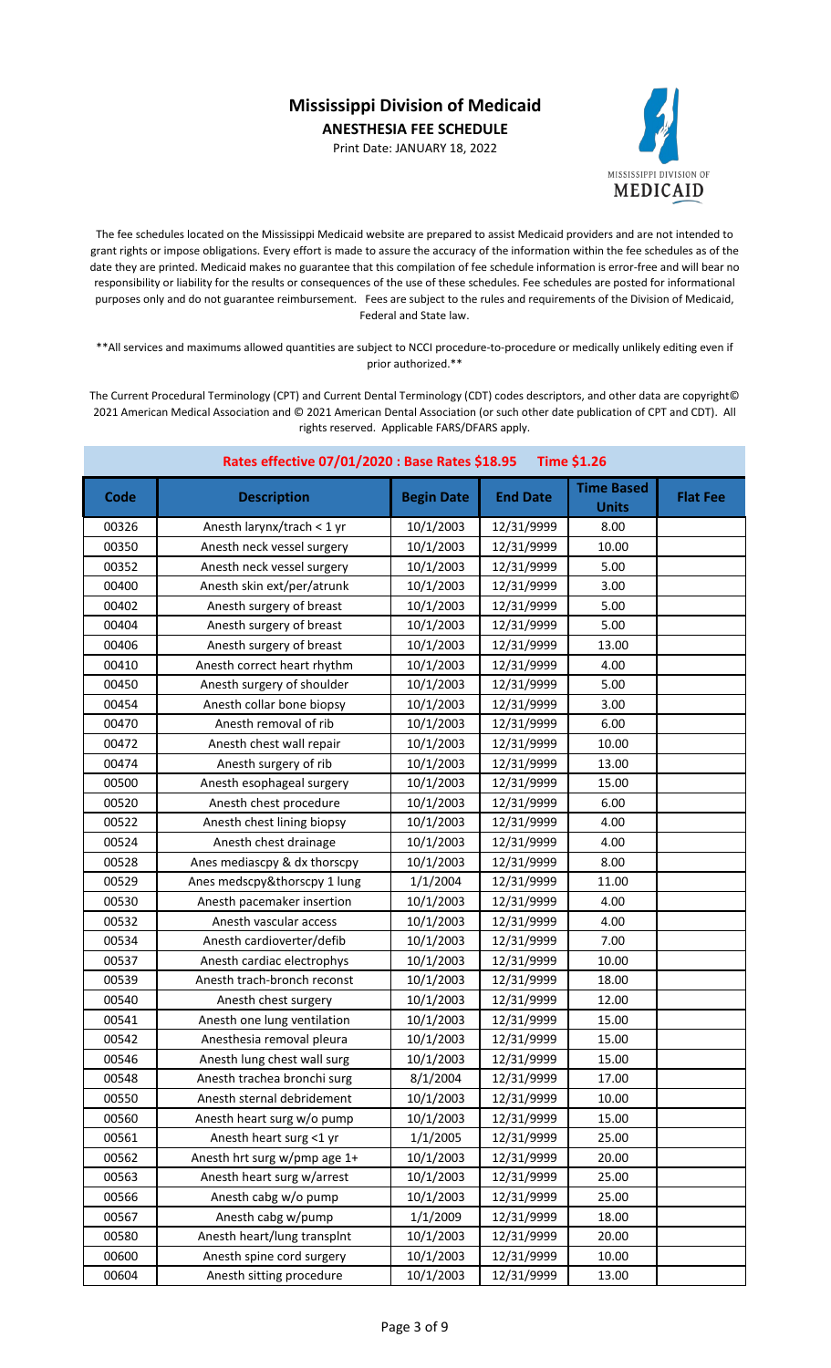Print Date: JANUARY 18, 2022



The fee schedules located on the Mississippi Medicaid website are prepared to assist Medicaid providers and are not intended to grant rights or impose obligations. Every effort is made to assure the accuracy of the information within the fee schedules as of the date they are printed. Medicaid makes no guarantee that this compilation of fee schedule information is error-free and will bear no responsibility or liability for the results or consequences of the use of these schedules. Fee schedules are posted for informational purposes only and do not guarantee reimbursement. Fees are subject to the rules and requirements of the Division of Medicaid, Federal and State law.

\*\*All services and maximums allowed quantities are subject to NCCI procedure-to-procedure or medically unlikely editing even if prior authorized.\*\*

| Rates effective 07/01/2020 : Base Rates \$18.95<br><b>Time \$1.26</b> |                              |                   |                 |                                   |                 |
|-----------------------------------------------------------------------|------------------------------|-------------------|-----------------|-----------------------------------|-----------------|
| Code                                                                  | <b>Description</b>           | <b>Begin Date</b> | <b>End Date</b> | <b>Time Based</b><br><b>Units</b> | <b>Flat Fee</b> |
| 00326                                                                 | Anesth larynx/trach < 1 yr   | 10/1/2003         | 12/31/9999      | 8.00                              |                 |
| 00350                                                                 | Anesth neck vessel surgery   | 10/1/2003         | 12/31/9999      | 10.00                             |                 |
| 00352                                                                 | Anesth neck vessel surgery   | 10/1/2003         | 12/31/9999      | 5.00                              |                 |
| 00400                                                                 | Anesth skin ext/per/atrunk   | 10/1/2003         | 12/31/9999      | 3.00                              |                 |
| 00402                                                                 | Anesth surgery of breast     | 10/1/2003         | 12/31/9999      | 5.00                              |                 |
| 00404                                                                 | Anesth surgery of breast     | 10/1/2003         | 12/31/9999      | 5.00                              |                 |
| 00406                                                                 | Anesth surgery of breast     | 10/1/2003         | 12/31/9999      | 13.00                             |                 |
| 00410                                                                 | Anesth correct heart rhythm  | 10/1/2003         | 12/31/9999      | 4.00                              |                 |
| 00450                                                                 | Anesth surgery of shoulder   | 10/1/2003         | 12/31/9999      | 5.00                              |                 |
| 00454                                                                 | Anesth collar bone biopsy    | 10/1/2003         | 12/31/9999      | 3.00                              |                 |
| 00470                                                                 | Anesth removal of rib        | 10/1/2003         | 12/31/9999      | 6.00                              |                 |
| 00472                                                                 | Anesth chest wall repair     | 10/1/2003         | 12/31/9999      | 10.00                             |                 |
| 00474                                                                 | Anesth surgery of rib        | 10/1/2003         | 12/31/9999      | 13.00                             |                 |
| 00500                                                                 | Anesth esophageal surgery    | 10/1/2003         | 12/31/9999      | 15.00                             |                 |
| 00520                                                                 | Anesth chest procedure       | 10/1/2003         | 12/31/9999      | 6.00                              |                 |
| 00522                                                                 | Anesth chest lining biopsy   | 10/1/2003         | 12/31/9999      | 4.00                              |                 |
| 00524                                                                 | Anesth chest drainage        | 10/1/2003         | 12/31/9999      | 4.00                              |                 |
| 00528                                                                 | Anes mediascpy & dx thorscpy | 10/1/2003         | 12/31/9999      | 8.00                              |                 |
| 00529                                                                 | Anes medscpy&thorscpy 1 lung | 1/1/2004          | 12/31/9999      | 11.00                             |                 |
| 00530                                                                 | Anesth pacemaker insertion   | 10/1/2003         | 12/31/9999      | 4.00                              |                 |
| 00532                                                                 | Anesth vascular access       | 10/1/2003         | 12/31/9999      | 4.00                              |                 |
| 00534                                                                 | Anesth cardioverter/defib    | 10/1/2003         | 12/31/9999      | 7.00                              |                 |
| 00537                                                                 | Anesth cardiac electrophys   | 10/1/2003         | 12/31/9999      | 10.00                             |                 |
| 00539                                                                 | Anesth trach-bronch reconst  | 10/1/2003         | 12/31/9999      | 18.00                             |                 |
| 00540                                                                 | Anesth chest surgery         | 10/1/2003         | 12/31/9999      | 12.00                             |                 |
| 00541                                                                 | Anesth one lung ventilation  | 10/1/2003         | 12/31/9999      | 15.00                             |                 |
| 00542                                                                 | Anesthesia removal pleura    | 10/1/2003         | 12/31/9999      | 15.00                             |                 |
| 00546                                                                 | Anesth lung chest wall surg  | 10/1/2003         | 12/31/9999      | 15.00                             |                 |
| 00548                                                                 | Anesth trachea bronchi surg  | 8/1/2004          | 12/31/9999      | 17.00                             |                 |
| 00550                                                                 | Anesth sternal debridement   | 10/1/2003         | 12/31/9999      | 10.00                             |                 |
| 00560                                                                 | Anesth heart surg w/o pump   | 10/1/2003         | 12/31/9999      | 15.00                             |                 |
| 00561                                                                 | Anesth heart surg <1 yr      | 1/1/2005          | 12/31/9999      | 25.00                             |                 |
| 00562                                                                 | Anesth hrt surg w/pmp age 1+ | 10/1/2003         | 12/31/9999      | 20.00                             |                 |
| 00563                                                                 | Anesth heart surg w/arrest   | 10/1/2003         | 12/31/9999      | 25.00                             |                 |
| 00566                                                                 | Anesth cabg w/o pump         | 10/1/2003         | 12/31/9999      | 25.00                             |                 |
| 00567                                                                 | Anesth cabg w/pump           | 1/1/2009          | 12/31/9999      | 18.00                             |                 |
| 00580                                                                 | Anesth heart/lung transplnt  | 10/1/2003         | 12/31/9999      | 20.00                             |                 |
| 00600                                                                 | Anesth spine cord surgery    | 10/1/2003         | 12/31/9999      | 10.00                             |                 |
| 00604                                                                 | Anesth sitting procedure     | 10/1/2003         | 12/31/9999      | 13.00                             |                 |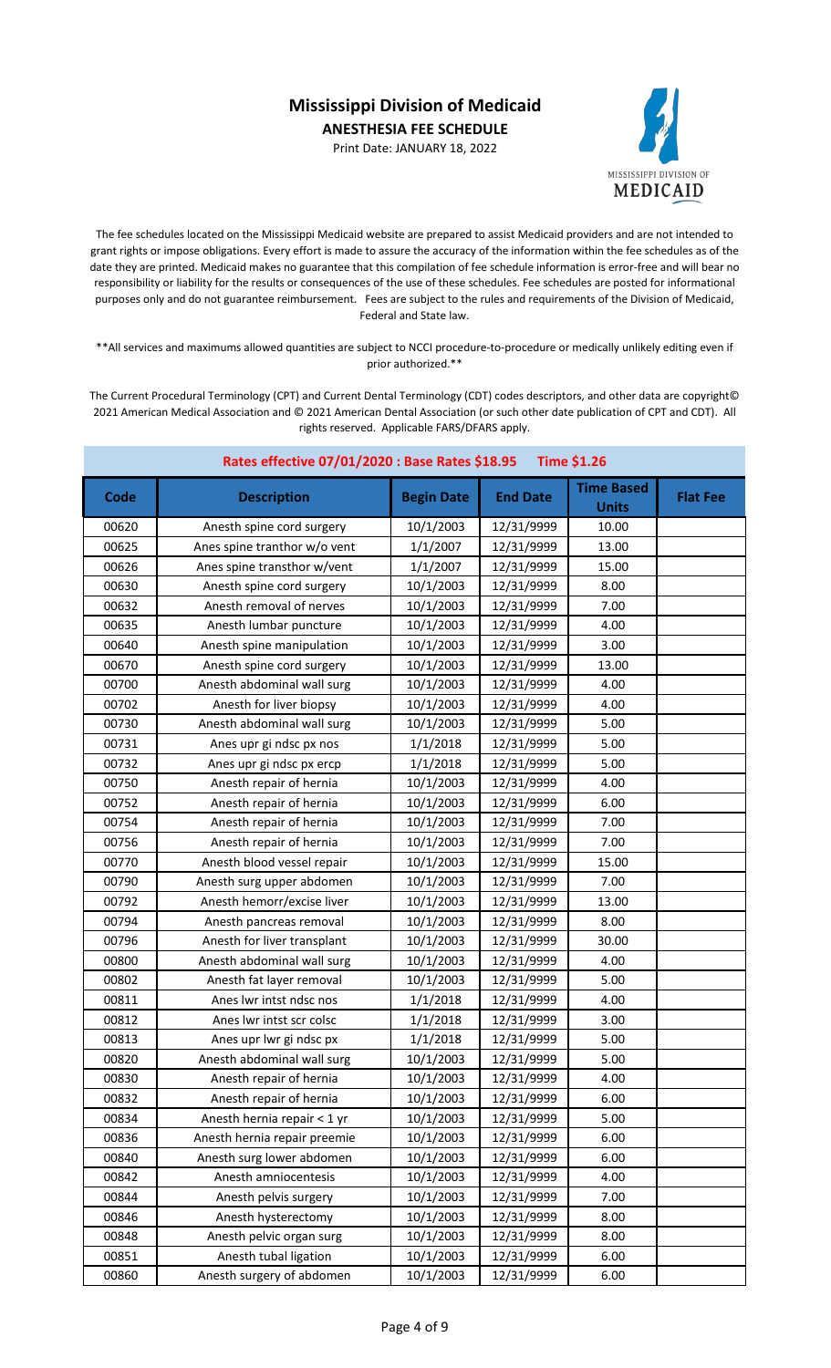Print Date: JANUARY 18, 2022



The fee schedules located on the Mississippi Medicaid website are prepared to assist Medicaid providers and are not intended to grant rights or impose obligations. Every effort is made to assure the accuracy of the information within the fee schedules as of the date they are printed. Medicaid makes no guarantee that this compilation of fee schedule information is error-free and will bear no responsibility or liability for the results or consequences of the use of these schedules. Fee schedules are posted for informational purposes only and do not guarantee reimbursement. Fees are subject to the rules and requirements of the Division of Medicaid, Federal and State law.

\*\*All services and maximums allowed quantities are subject to NCCI procedure-to-procedure or medically unlikely editing even if prior authorized.\*\*

| Rates effective 07/01/2020 : Base Rates \$18.95<br><b>Time \$1.26</b> |                              |                   |                 |                                   |                 |
|-----------------------------------------------------------------------|------------------------------|-------------------|-----------------|-----------------------------------|-----------------|
| Code                                                                  | <b>Description</b>           | <b>Begin Date</b> | <b>End Date</b> | <b>Time Based</b><br><b>Units</b> | <b>Flat Fee</b> |
| 00620                                                                 | Anesth spine cord surgery    | 10/1/2003         | 12/31/9999      | 10.00                             |                 |
| 00625                                                                 | Anes spine tranthor w/o vent | 1/1/2007          | 12/31/9999      | 13.00                             |                 |
| 00626                                                                 | Anes spine transthor w/vent  | 1/1/2007          | 12/31/9999      | 15.00                             |                 |
| 00630                                                                 | Anesth spine cord surgery    | 10/1/2003         | 12/31/9999      | 8.00                              |                 |
| 00632                                                                 | Anesth removal of nerves     | 10/1/2003         | 12/31/9999      | 7.00                              |                 |
| 00635                                                                 | Anesth lumbar puncture       | 10/1/2003         | 12/31/9999      | 4.00                              |                 |
| 00640                                                                 | Anesth spine manipulation    | 10/1/2003         | 12/31/9999      | 3.00                              |                 |
| 00670                                                                 | Anesth spine cord surgery    | 10/1/2003         | 12/31/9999      | 13.00                             |                 |
| 00700                                                                 | Anesth abdominal wall surg   | 10/1/2003         | 12/31/9999      | 4.00                              |                 |
| 00702                                                                 | Anesth for liver biopsy      | 10/1/2003         | 12/31/9999      | 4.00                              |                 |
| 00730                                                                 | Anesth abdominal wall surg   | 10/1/2003         | 12/31/9999      | 5.00                              |                 |
| 00731                                                                 | Anes upr gi ndsc px nos      | 1/1/2018          | 12/31/9999      | 5.00                              |                 |
| 00732                                                                 | Anes upr gi ndsc px ercp     | 1/1/2018          | 12/31/9999      | 5.00                              |                 |
| 00750                                                                 | Anesth repair of hernia      | 10/1/2003         | 12/31/9999      | 4.00                              |                 |
| 00752                                                                 | Anesth repair of hernia      | 10/1/2003         | 12/31/9999      | 6.00                              |                 |
| 00754                                                                 | Anesth repair of hernia      | 10/1/2003         | 12/31/9999      | 7.00                              |                 |
| 00756                                                                 | Anesth repair of hernia      | 10/1/2003         | 12/31/9999      | 7.00                              |                 |
| 00770                                                                 | Anesth blood vessel repair   | 10/1/2003         | 12/31/9999      | 15.00                             |                 |
| 00790                                                                 | Anesth surg upper abdomen    | 10/1/2003         | 12/31/9999      | 7.00                              |                 |
| 00792                                                                 | Anesth hemorr/excise liver   | 10/1/2003         | 12/31/9999      | 13.00                             |                 |
| 00794                                                                 | Anesth pancreas removal      | 10/1/2003         | 12/31/9999      | 8.00                              |                 |
| 00796                                                                 | Anesth for liver transplant  | 10/1/2003         | 12/31/9999      | 30.00                             |                 |
| 00800                                                                 | Anesth abdominal wall surg   | 10/1/2003         | 12/31/9999      | 4.00                              |                 |
| 00802                                                                 | Anesth fat layer removal     | 10/1/2003         | 12/31/9999      | 5.00                              |                 |
| 00811                                                                 | Anes lwr intst ndsc nos      | 1/1/2018          | 12/31/9999      | 4.00                              |                 |
| 00812                                                                 | Anes lwr intst scr colsc     | 1/1/2018          | 12/31/9999      | 3.00                              |                 |
| 00813                                                                 | Anes upr lwr gi ndsc px      | 1/1/2018          | 12/31/9999      | 5.00                              |                 |
| 00820                                                                 | Anesth abdominal wall surg   | 10/1/2003         | 12/31/9999      | 5.00                              |                 |
| 00830                                                                 | Anesth repair of hernia      | 10/1/2003         | 12/31/9999      | 4.00                              |                 |
| 00832                                                                 | Anesth repair of hernia      | 10/1/2003         | 12/31/9999      | 6.00                              |                 |
| 00834                                                                 | Anesth hernia repair < 1 yr  | 10/1/2003         | 12/31/9999      | 5.00                              |                 |
| 00836                                                                 | Anesth hernia repair preemie | 10/1/2003         | 12/31/9999      | 6.00                              |                 |
| 00840                                                                 | Anesth surg lower abdomen    | 10/1/2003         | 12/31/9999      | 6.00                              |                 |
| 00842                                                                 | Anesth amniocentesis         | 10/1/2003         | 12/31/9999      | 4.00                              |                 |
| 00844                                                                 | Anesth pelvis surgery        | 10/1/2003         | 12/31/9999      | 7.00                              |                 |
| 00846                                                                 | Anesth hysterectomy          | 10/1/2003         | 12/31/9999      | 8.00                              |                 |
| 00848                                                                 | Anesth pelvic organ surg     | 10/1/2003         | 12/31/9999      | 8.00                              |                 |
| 00851                                                                 | Anesth tubal ligation        | 10/1/2003         | 12/31/9999      | 6.00                              |                 |
| 00860                                                                 | Anesth surgery of abdomen    | 10/1/2003         | 12/31/9999      | 6.00                              |                 |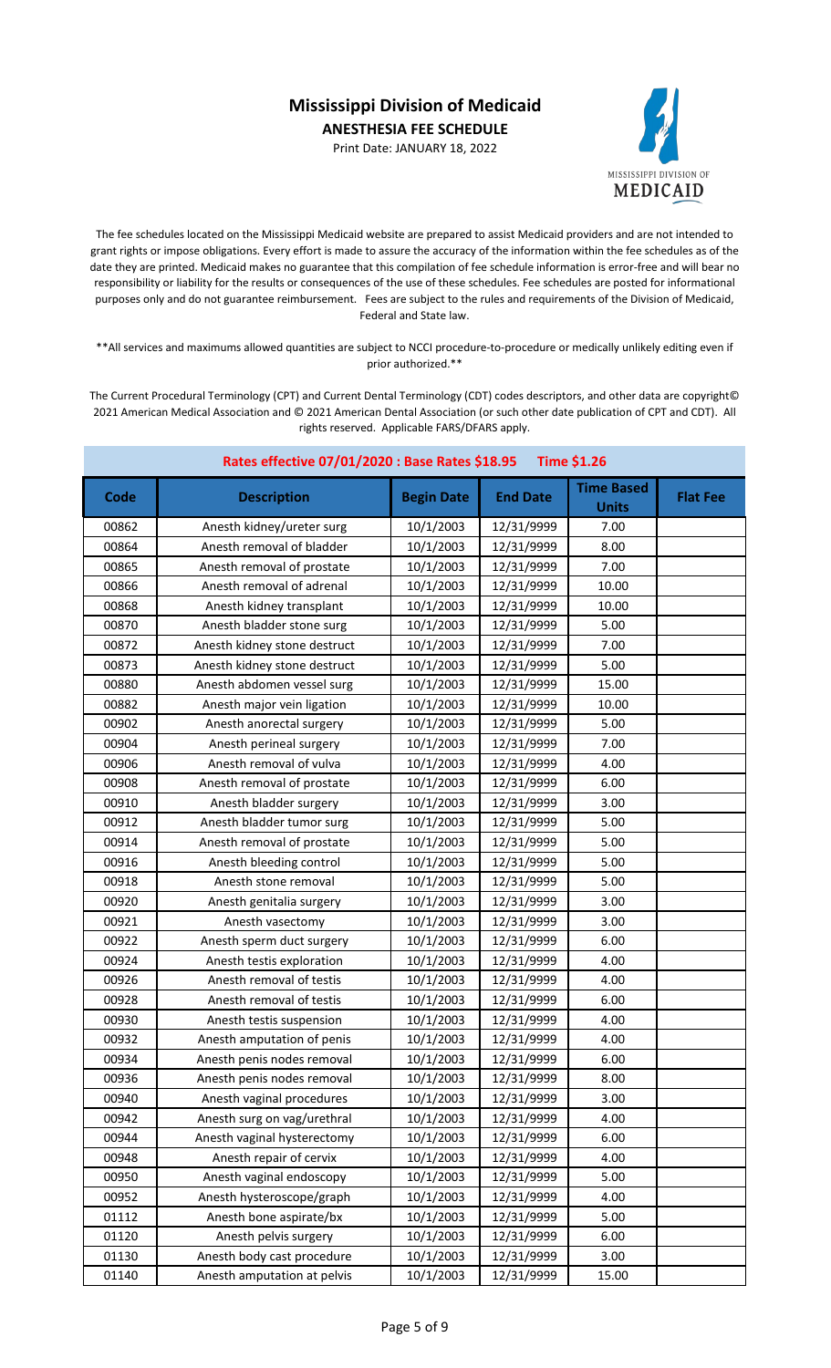Print Date: JANUARY 18, 2022



The fee schedules located on the Mississippi Medicaid website are prepared to assist Medicaid providers and are not intended to grant rights or impose obligations. Every effort is made to assure the accuracy of the information within the fee schedules as of the date they are printed. Medicaid makes no guarantee that this compilation of fee schedule information is error-free and will bear no responsibility or liability for the results or consequences of the use of these schedules. Fee schedules are posted for informational purposes only and do not guarantee reimbursement. Fees are subject to the rules and requirements of the Division of Medicaid, Federal and State law.

\*\*All services and maximums allowed quantities are subject to NCCI procedure-to-procedure or medically unlikely editing even if prior authorized.\*\*

| Rates effective 07/01/2020 : Base Rates \$18.95<br><b>Time \$1.26</b> |                              |                   |                 |                                   |                 |
|-----------------------------------------------------------------------|------------------------------|-------------------|-----------------|-----------------------------------|-----------------|
| Code                                                                  | <b>Description</b>           | <b>Begin Date</b> | <b>End Date</b> | <b>Time Based</b><br><b>Units</b> | <b>Flat Fee</b> |
| 00862                                                                 | Anesth kidney/ureter surg    | 10/1/2003         | 12/31/9999      | 7.00                              |                 |
| 00864                                                                 | Anesth removal of bladder    | 10/1/2003         | 12/31/9999      | 8.00                              |                 |
| 00865                                                                 | Anesth removal of prostate   | 10/1/2003         | 12/31/9999      | 7.00                              |                 |
| 00866                                                                 | Anesth removal of adrenal    | 10/1/2003         | 12/31/9999      | 10.00                             |                 |
| 00868                                                                 | Anesth kidney transplant     | 10/1/2003         | 12/31/9999      | 10.00                             |                 |
| 00870                                                                 | Anesth bladder stone surg    | 10/1/2003         | 12/31/9999      | 5.00                              |                 |
| 00872                                                                 | Anesth kidney stone destruct | 10/1/2003         | 12/31/9999      | 7.00                              |                 |
| 00873                                                                 | Anesth kidney stone destruct | 10/1/2003         | 12/31/9999      | 5.00                              |                 |
| 00880                                                                 | Anesth abdomen vessel surg   | 10/1/2003         | 12/31/9999      | 15.00                             |                 |
| 00882                                                                 | Anesth major vein ligation   | 10/1/2003         | 12/31/9999      | 10.00                             |                 |
| 00902                                                                 | Anesth anorectal surgery     | 10/1/2003         | 12/31/9999      | 5.00                              |                 |
| 00904                                                                 | Anesth perineal surgery      | 10/1/2003         | 12/31/9999      | 7.00                              |                 |
| 00906                                                                 | Anesth removal of vulva      | 10/1/2003         | 12/31/9999      | 4.00                              |                 |
| 00908                                                                 | Anesth removal of prostate   | 10/1/2003         | 12/31/9999      | 6.00                              |                 |
| 00910                                                                 | Anesth bladder surgery       | 10/1/2003         | 12/31/9999      | 3.00                              |                 |
| 00912                                                                 | Anesth bladder tumor surg    | 10/1/2003         | 12/31/9999      | 5.00                              |                 |
| 00914                                                                 | Anesth removal of prostate   | 10/1/2003         | 12/31/9999      | 5.00                              |                 |
| 00916                                                                 | Anesth bleeding control      | 10/1/2003         | 12/31/9999      | 5.00                              |                 |
| 00918                                                                 | Anesth stone removal         | 10/1/2003         | 12/31/9999      | 5.00                              |                 |
| 00920                                                                 | Anesth genitalia surgery     | 10/1/2003         | 12/31/9999      | 3.00                              |                 |
| 00921                                                                 | Anesth vasectomy             | 10/1/2003         | 12/31/9999      | 3.00                              |                 |
| 00922                                                                 | Anesth sperm duct surgery    | 10/1/2003         | 12/31/9999      | 6.00                              |                 |
| 00924                                                                 | Anesth testis exploration    | 10/1/2003         | 12/31/9999      | 4.00                              |                 |
| 00926                                                                 | Anesth removal of testis     | 10/1/2003         | 12/31/9999      | 4.00                              |                 |
| 00928                                                                 | Anesth removal of testis     | 10/1/2003         | 12/31/9999      | 6.00                              |                 |
| 00930                                                                 | Anesth testis suspension     | 10/1/2003         | 12/31/9999      | 4.00                              |                 |
| 00932                                                                 | Anesth amputation of penis   | 10/1/2003         | 12/31/9999      | 4.00                              |                 |
| 00934                                                                 | Anesth penis nodes removal   | 10/1/2003         | 12/31/9999      | 6.00                              |                 |
| 00936                                                                 | Anesth penis nodes removal   | 10/1/2003         | 12/31/9999      | 8.00                              |                 |
| 00940                                                                 | Anesth vaginal procedures    | 10/1/2003         | 12/31/9999      | 3.00                              |                 |
| 00942                                                                 | Anesth surg on vag/urethral  | 10/1/2003         | 12/31/9999      | 4.00                              |                 |
| 00944                                                                 | Anesth vaginal hysterectomy  | 10/1/2003         | 12/31/9999      | 6.00                              |                 |
| 00948                                                                 | Anesth repair of cervix      | 10/1/2003         | 12/31/9999      | 4.00                              |                 |
| 00950                                                                 | Anesth vaginal endoscopy     | 10/1/2003         | 12/31/9999      | 5.00                              |                 |
| 00952                                                                 | Anesth hysteroscope/graph    | 10/1/2003         | 12/31/9999      | 4.00                              |                 |
| 01112                                                                 | Anesth bone aspirate/bx      | 10/1/2003         | 12/31/9999      | 5.00                              |                 |
| 01120                                                                 | Anesth pelvis surgery        | 10/1/2003         | 12/31/9999      | 6.00                              |                 |
| 01130                                                                 | Anesth body cast procedure   | 10/1/2003         | 12/31/9999      | 3.00                              |                 |
| 01140                                                                 | Anesth amputation at pelvis  | 10/1/2003         | 12/31/9999      | 15.00                             |                 |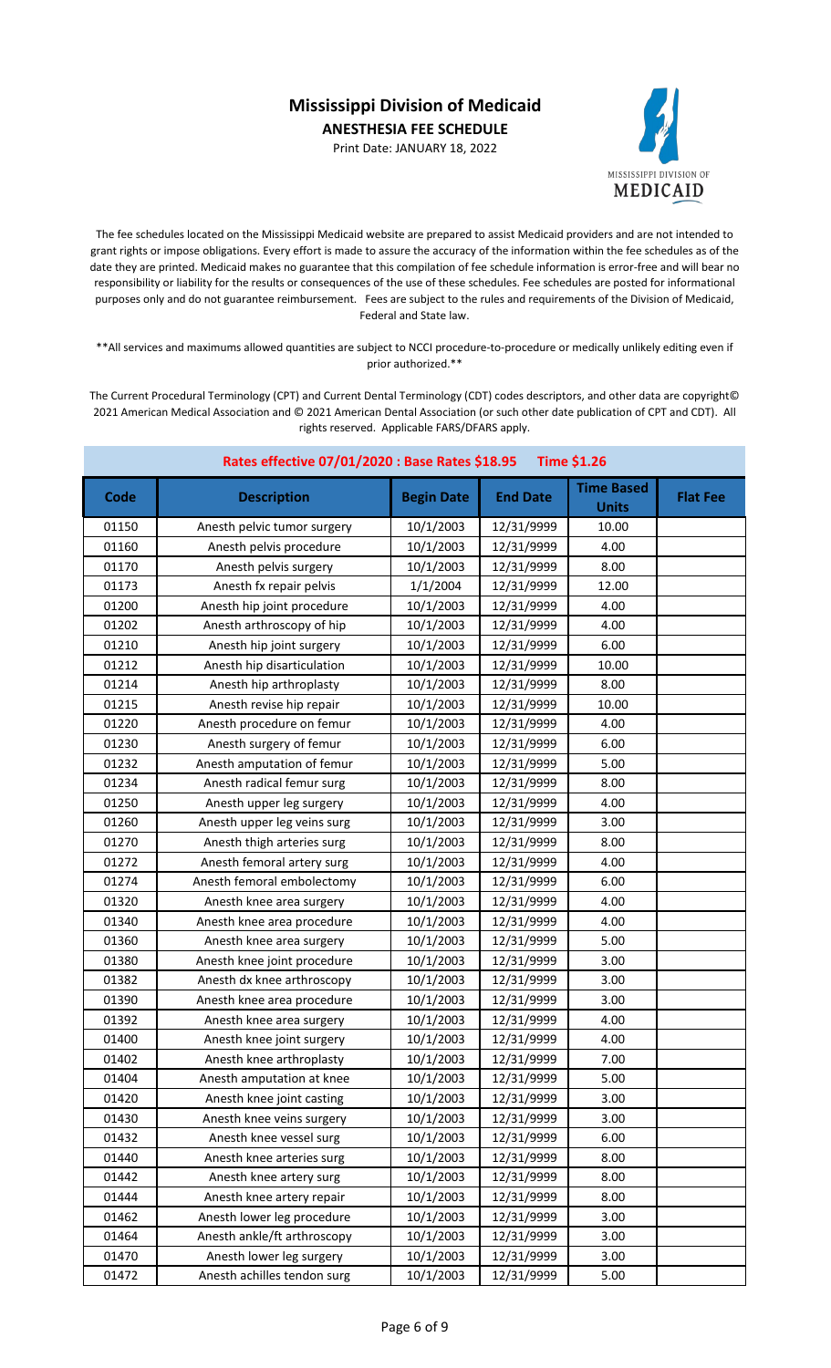Print Date: JANUARY 18, 2022



The fee schedules located on the Mississippi Medicaid website are prepared to assist Medicaid providers and are not intended to grant rights or impose obligations. Every effort is made to assure the accuracy of the information within the fee schedules as of the date they are printed. Medicaid makes no guarantee that this compilation of fee schedule information is error-free and will bear no responsibility or liability for the results or consequences of the use of these schedules. Fee schedules are posted for informational purposes only and do not guarantee reimbursement. Fees are subject to the rules and requirements of the Division of Medicaid, Federal and State law.

\*\*All services and maximums allowed quantities are subject to NCCI procedure-to-procedure or medically unlikely editing even if prior authorized.\*\*

| Rates effective 07/01/2020 : Base Rates \$18.95<br><b>Time \$1.26</b> |                             |                   |                 |                                   |                 |
|-----------------------------------------------------------------------|-----------------------------|-------------------|-----------------|-----------------------------------|-----------------|
| Code                                                                  | <b>Description</b>          | <b>Begin Date</b> | <b>End Date</b> | <b>Time Based</b><br><b>Units</b> | <b>Flat Fee</b> |
| 01150                                                                 | Anesth pelvic tumor surgery | 10/1/2003         | 12/31/9999      | 10.00                             |                 |
| 01160                                                                 | Anesth pelvis procedure     | 10/1/2003         | 12/31/9999      | 4.00                              |                 |
| 01170                                                                 | Anesth pelvis surgery       | 10/1/2003         | 12/31/9999      | 8.00                              |                 |
| 01173                                                                 | Anesth fx repair pelvis     | 1/1/2004          | 12/31/9999      | 12.00                             |                 |
| 01200                                                                 | Anesth hip joint procedure  | 10/1/2003         | 12/31/9999      | 4.00                              |                 |
| 01202                                                                 | Anesth arthroscopy of hip   | 10/1/2003         | 12/31/9999      | 4.00                              |                 |
| 01210                                                                 | Anesth hip joint surgery    | 10/1/2003         | 12/31/9999      | 6.00                              |                 |
| 01212                                                                 | Anesth hip disarticulation  | 10/1/2003         | 12/31/9999      | 10.00                             |                 |
| 01214                                                                 | Anesth hip arthroplasty     | 10/1/2003         | 12/31/9999      | 8.00                              |                 |
| 01215                                                                 | Anesth revise hip repair    | 10/1/2003         | 12/31/9999      | 10.00                             |                 |
| 01220                                                                 | Anesth procedure on femur   | 10/1/2003         | 12/31/9999      | 4.00                              |                 |
| 01230                                                                 | Anesth surgery of femur     | 10/1/2003         | 12/31/9999      | 6.00                              |                 |
| 01232                                                                 | Anesth amputation of femur  | 10/1/2003         | 12/31/9999      | 5.00                              |                 |
| 01234                                                                 | Anesth radical femur surg   | 10/1/2003         | 12/31/9999      | 8.00                              |                 |
| 01250                                                                 | Anesth upper leg surgery    | 10/1/2003         | 12/31/9999      | 4.00                              |                 |
| 01260                                                                 | Anesth upper leg veins surg | 10/1/2003         | 12/31/9999      | 3.00                              |                 |
| 01270                                                                 | Anesth thigh arteries surg  | 10/1/2003         | 12/31/9999      | 8.00                              |                 |
| 01272                                                                 | Anesth femoral artery surg  | 10/1/2003         | 12/31/9999      | 4.00                              |                 |
| 01274                                                                 | Anesth femoral embolectomy  | 10/1/2003         | 12/31/9999      | 6.00                              |                 |
| 01320                                                                 | Anesth knee area surgery    | 10/1/2003         | 12/31/9999      | 4.00                              |                 |
| 01340                                                                 | Anesth knee area procedure  | 10/1/2003         | 12/31/9999      | 4.00                              |                 |
| 01360                                                                 | Anesth knee area surgery    | 10/1/2003         | 12/31/9999      | 5.00                              |                 |
| 01380                                                                 | Anesth knee joint procedure | 10/1/2003         | 12/31/9999      | 3.00                              |                 |
| 01382                                                                 | Anesth dx knee arthroscopy  | 10/1/2003         | 12/31/9999      | 3.00                              |                 |
| 01390                                                                 | Anesth knee area procedure  | 10/1/2003         | 12/31/9999      | 3.00                              |                 |
| 01392                                                                 | Anesth knee area surgery    | 10/1/2003         | 12/31/9999      | 4.00                              |                 |
| 01400                                                                 | Anesth knee joint surgery   | 10/1/2003         | 12/31/9999      | 4.00                              |                 |
| 01402                                                                 | Anesth knee arthroplasty    | 10/1/2003         | 12/31/9999      | 7.00                              |                 |
| 01404                                                                 | Anesth amputation at knee   | 10/1/2003         | 12/31/9999      | 5.00                              |                 |
| 01420                                                                 | Anesth knee joint casting   | 10/1/2003         | 12/31/9999      | 3.00                              |                 |
| 01430                                                                 | Anesth knee veins surgery   | 10/1/2003         | 12/31/9999      | 3.00                              |                 |
| 01432                                                                 | Anesth knee vessel surg     | 10/1/2003         | 12/31/9999      | 6.00                              |                 |
| 01440                                                                 | Anesth knee arteries surg   | 10/1/2003         | 12/31/9999      | 8.00                              |                 |
| 01442                                                                 | Anesth knee artery surg     | 10/1/2003         | 12/31/9999      | 8.00                              |                 |
| 01444                                                                 | Anesth knee artery repair   | 10/1/2003         | 12/31/9999      | 8.00                              |                 |
| 01462                                                                 | Anesth lower leg procedure  | 10/1/2003         | 12/31/9999      | 3.00                              |                 |
| 01464                                                                 | Anesth ankle/ft arthroscopy | 10/1/2003         | 12/31/9999      | 3.00                              |                 |
| 01470                                                                 | Anesth lower leg surgery    | 10/1/2003         | 12/31/9999      | 3.00                              |                 |
| 01472                                                                 | Anesth achilles tendon surg | 10/1/2003         | 12/31/9999      | 5.00                              |                 |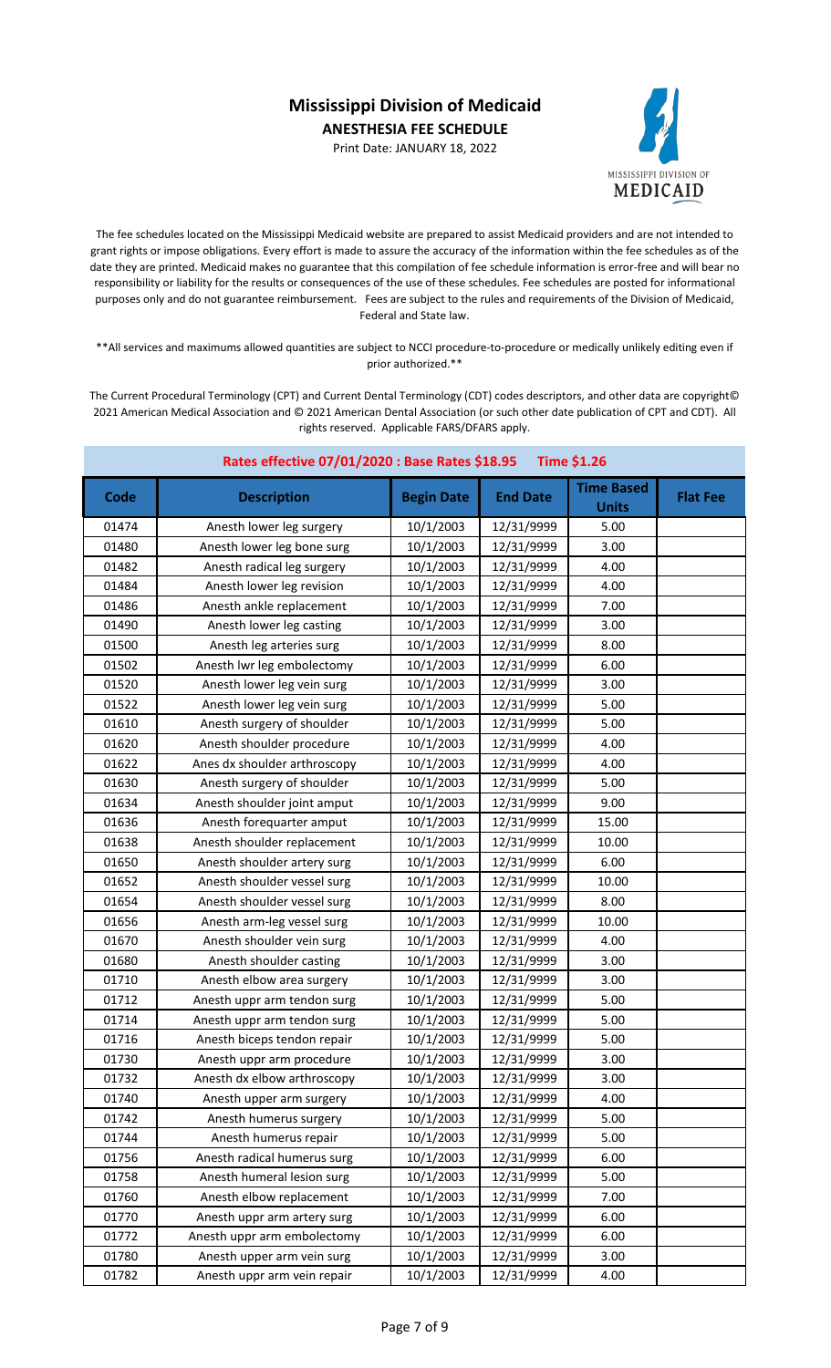Print Date: JANUARY 18, 2022



The fee schedules located on the Mississippi Medicaid website are prepared to assist Medicaid providers and are not intended to grant rights or impose obligations. Every effort is made to assure the accuracy of the information within the fee schedules as of the date they are printed. Medicaid makes no guarantee that this compilation of fee schedule information is error-free and will bear no responsibility or liability for the results or consequences of the use of these schedules. Fee schedules are posted for informational purposes only and do not guarantee reimbursement. Fees are subject to the rules and requirements of the Division of Medicaid, Federal and State law.

\*\*All services and maximums allowed quantities are subject to NCCI procedure-to-procedure or medically unlikely editing even if prior authorized.\*\*

| Rates effective 07/01/2020 : Base Rates \$18.95<br><b>Time \$1.26</b> |                              |                   |                 |                                   |                 |
|-----------------------------------------------------------------------|------------------------------|-------------------|-----------------|-----------------------------------|-----------------|
| Code                                                                  | <b>Description</b>           | <b>Begin Date</b> | <b>End Date</b> | <b>Time Based</b><br><b>Units</b> | <b>Flat Fee</b> |
| 01474                                                                 | Anesth lower leg surgery     | 10/1/2003         | 12/31/9999      | 5.00                              |                 |
| 01480                                                                 | Anesth lower leg bone surg   | 10/1/2003         | 12/31/9999      | 3.00                              |                 |
| 01482                                                                 | Anesth radical leg surgery   | 10/1/2003         | 12/31/9999      | 4.00                              |                 |
| 01484                                                                 | Anesth lower leg revision    | 10/1/2003         | 12/31/9999      | 4.00                              |                 |
| 01486                                                                 | Anesth ankle replacement     | 10/1/2003         | 12/31/9999      | 7.00                              |                 |
| 01490                                                                 | Anesth lower leg casting     | 10/1/2003         | 12/31/9999      | 3.00                              |                 |
| 01500                                                                 | Anesth leg arteries surg     | 10/1/2003         | 12/31/9999      | 8.00                              |                 |
| 01502                                                                 | Anesth Iwr leg embolectomy   | 10/1/2003         | 12/31/9999      | 6.00                              |                 |
| 01520                                                                 | Anesth lower leg vein surg   | 10/1/2003         | 12/31/9999      | 3.00                              |                 |
| 01522                                                                 | Anesth lower leg vein surg   | 10/1/2003         | 12/31/9999      | 5.00                              |                 |
| 01610                                                                 | Anesth surgery of shoulder   | 10/1/2003         | 12/31/9999      | 5.00                              |                 |
| 01620                                                                 | Anesth shoulder procedure    | 10/1/2003         | 12/31/9999      | 4.00                              |                 |
| 01622                                                                 | Anes dx shoulder arthroscopy | 10/1/2003         | 12/31/9999      | 4.00                              |                 |
| 01630                                                                 | Anesth surgery of shoulder   | 10/1/2003         | 12/31/9999      | 5.00                              |                 |
| 01634                                                                 | Anesth shoulder joint amput  | 10/1/2003         | 12/31/9999      | 9.00                              |                 |
| 01636                                                                 | Anesth forequarter amput     | 10/1/2003         | 12/31/9999      | 15.00                             |                 |
| 01638                                                                 | Anesth shoulder replacement  | 10/1/2003         | 12/31/9999      | 10.00                             |                 |
| 01650                                                                 | Anesth shoulder artery surg  | 10/1/2003         | 12/31/9999      | 6.00                              |                 |
| 01652                                                                 | Anesth shoulder vessel surg  | 10/1/2003         | 12/31/9999      | 10.00                             |                 |
| 01654                                                                 | Anesth shoulder vessel surg  | 10/1/2003         | 12/31/9999      | 8.00                              |                 |
| 01656                                                                 | Anesth arm-leg vessel surg   | 10/1/2003         | 12/31/9999      | 10.00                             |                 |
| 01670                                                                 | Anesth shoulder vein surg    | 10/1/2003         | 12/31/9999      | 4.00                              |                 |
| 01680                                                                 | Anesth shoulder casting      | 10/1/2003         | 12/31/9999      | 3.00                              |                 |
| 01710                                                                 | Anesth elbow area surgery    | 10/1/2003         | 12/31/9999      | 3.00                              |                 |
| 01712                                                                 | Anesth uppr arm tendon surg  | 10/1/2003         | 12/31/9999      | 5.00                              |                 |
| 01714                                                                 | Anesth uppr arm tendon surg  | 10/1/2003         | 12/31/9999      | 5.00                              |                 |
| 01716                                                                 | Anesth biceps tendon repair  | 10/1/2003         | 12/31/9999      | 5.00                              |                 |
| 01730                                                                 | Anesth uppr arm procedure    | 10/1/2003         | 12/31/9999      | 3.00                              |                 |
| 01732                                                                 | Anesth dx elbow arthroscopy  | 10/1/2003         | 12/31/9999      | 3.00                              |                 |
| 01740                                                                 | Anesth upper arm surgery     | 10/1/2003         | 12/31/9999      | 4.00                              |                 |
| 01742                                                                 | Anesth humerus surgery       | 10/1/2003         | 12/31/9999      | 5.00                              |                 |
| 01744                                                                 | Anesth humerus repair        | 10/1/2003         | 12/31/9999      | 5.00                              |                 |
| 01756                                                                 | Anesth radical humerus surg  | 10/1/2003         | 12/31/9999      | 6.00                              |                 |
| 01758                                                                 | Anesth humeral lesion surg   | 10/1/2003         | 12/31/9999      | 5.00                              |                 |
| 01760                                                                 | Anesth elbow replacement     | 10/1/2003         | 12/31/9999      | 7.00                              |                 |
| 01770                                                                 | Anesth uppr arm artery surg  | 10/1/2003         | 12/31/9999      | 6.00                              |                 |
| 01772                                                                 | Anesth uppr arm embolectomy  | 10/1/2003         | 12/31/9999      | 6.00                              |                 |
| 01780                                                                 | Anesth upper arm vein surg   | 10/1/2003         | 12/31/9999      | 3.00                              |                 |
| 01782                                                                 | Anesth uppr arm vein repair  | 10/1/2003         | 12/31/9999      | 4.00                              |                 |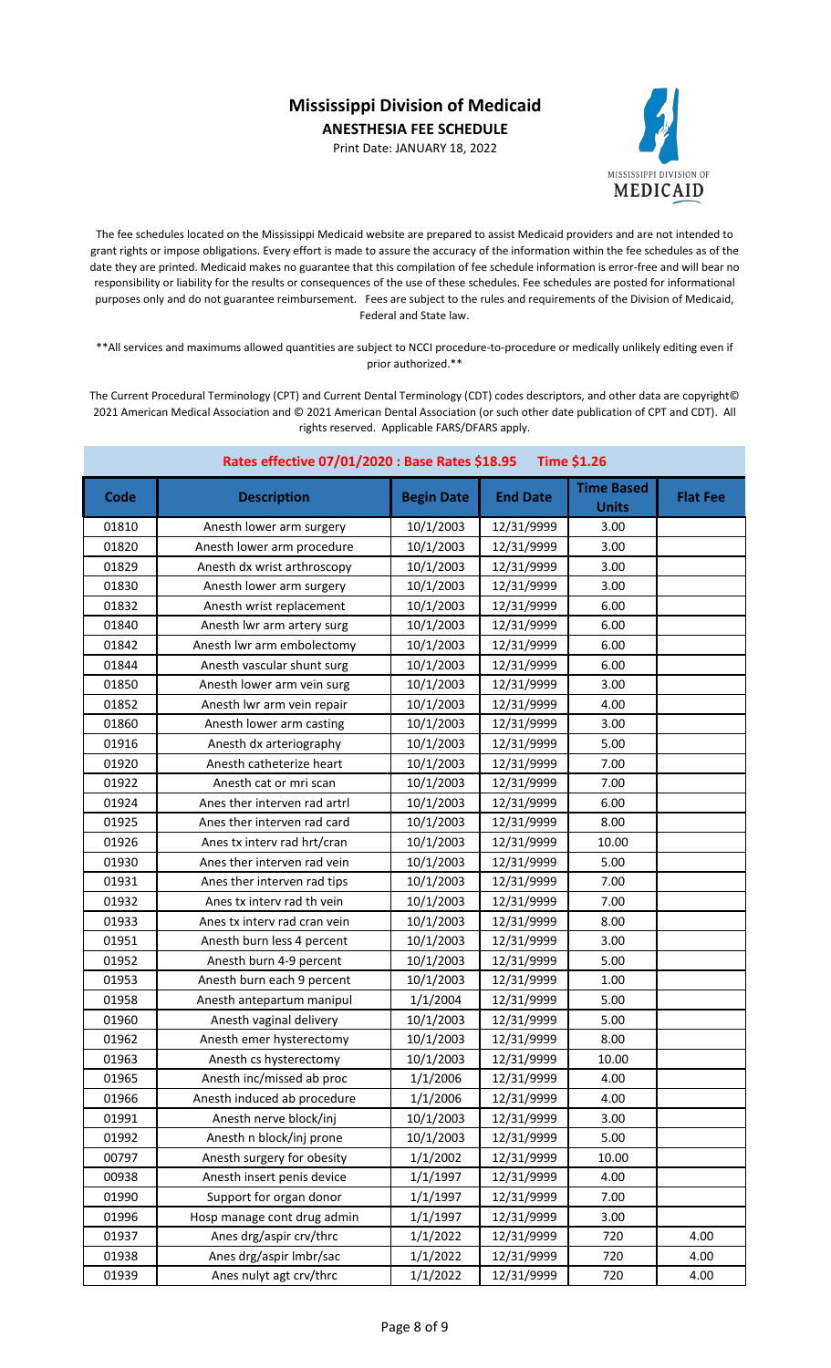Print Date: JANUARY 18, 2022



The fee schedules located on the Mississippi Medicaid website are prepared to assist Medicaid providers and are not intended to grant rights or impose obligations. Every effort is made to assure the accuracy of the information within the fee schedules as of the date they are printed. Medicaid makes no guarantee that this compilation of fee schedule information is error-free and will bear no responsibility or liability for the results or consequences of the use of these schedules. Fee schedules are posted for informational purposes only and do not guarantee reimbursement. Fees are subject to the rules and requirements of the Division of Medicaid, Federal and State law.

\*\*All services and maximums allowed quantities are subject to NCCI procedure-to-procedure or medically unlikely editing even if prior authorized.\*\*

| Rates effective 07/01/2020 : Base Rates \$18.95<br><b>Time \$1.26</b> |                              |                   |                 |                                   |                 |
|-----------------------------------------------------------------------|------------------------------|-------------------|-----------------|-----------------------------------|-----------------|
| Code                                                                  | <b>Description</b>           | <b>Begin Date</b> | <b>End Date</b> | <b>Time Based</b><br><b>Units</b> | <b>Flat Fee</b> |
| 01810                                                                 | Anesth lower arm surgery     | 10/1/2003         | 12/31/9999      | 3.00                              |                 |
| 01820                                                                 | Anesth lower arm procedure   | 10/1/2003         | 12/31/9999      | 3.00                              |                 |
| 01829                                                                 | Anesth dx wrist arthroscopy  | 10/1/2003         | 12/31/9999      | 3.00                              |                 |
| 01830                                                                 | Anesth lower arm surgery     | 10/1/2003         | 12/31/9999      | 3.00                              |                 |
| 01832                                                                 | Anesth wrist replacement     | 10/1/2003         | 12/31/9999      | 6.00                              |                 |
| 01840                                                                 | Anesth Iwr arm artery surg   | 10/1/2003         | 12/31/9999      | 6.00                              |                 |
| 01842                                                                 | Anesth Iwr arm embolectomy   | 10/1/2003         | 12/31/9999      | 6.00                              |                 |
| 01844                                                                 | Anesth vascular shunt surg   | 10/1/2003         | 12/31/9999      | 6.00                              |                 |
| 01850                                                                 | Anesth lower arm vein surg   | 10/1/2003         | 12/31/9999      | 3.00                              |                 |
| 01852                                                                 | Anesth lwr arm vein repair   | 10/1/2003         | 12/31/9999      | 4.00                              |                 |
| 01860                                                                 | Anesth lower arm casting     | 10/1/2003         | 12/31/9999      | 3.00                              |                 |
| 01916                                                                 | Anesth dx arteriography      | 10/1/2003         | 12/31/9999      | 5.00                              |                 |
| 01920                                                                 | Anesth catheterize heart     | 10/1/2003         | 12/31/9999      | 7.00                              |                 |
| 01922                                                                 | Anesth cat or mri scan       | 10/1/2003         | 12/31/9999      | 7.00                              |                 |
| 01924                                                                 | Anes ther interven rad artrl | 10/1/2003         | 12/31/9999      | 6.00                              |                 |
| 01925                                                                 | Anes ther interven rad card  | 10/1/2003         | 12/31/9999      | 8.00                              |                 |
| 01926                                                                 | Anes tx interv rad hrt/cran  | 10/1/2003         | 12/31/9999      | 10.00                             |                 |
| 01930                                                                 | Anes ther interven rad vein  | 10/1/2003         | 12/31/9999      | 5.00                              |                 |
| 01931                                                                 | Anes ther interven rad tips  | 10/1/2003         | 12/31/9999      | 7.00                              |                 |
| 01932                                                                 | Anes tx interv rad th vein   | 10/1/2003         | 12/31/9999      | 7.00                              |                 |
| 01933                                                                 | Anes tx interv rad cran vein | 10/1/2003         | 12/31/9999      | 8.00                              |                 |
| 01951                                                                 | Anesth burn less 4 percent   | 10/1/2003         | 12/31/9999      | 3.00                              |                 |
| 01952                                                                 | Anesth burn 4-9 percent      | 10/1/2003         | 12/31/9999      | 5.00                              |                 |
| 01953                                                                 | Anesth burn each 9 percent   | 10/1/2003         | 12/31/9999      | 1.00                              |                 |
| 01958                                                                 | Anesth antepartum manipul    | 1/1/2004          | 12/31/9999      | 5.00                              |                 |
| 01960                                                                 | Anesth vaginal delivery      | 10/1/2003         | 12/31/9999      | 5.00                              |                 |
| 01962                                                                 | Anesth emer hysterectomy     | 10/1/2003         | 12/31/9999      | 8.00                              |                 |
| 01963                                                                 | Anesth cs hysterectomy       | 10/1/2003         | 12/31/9999      | 10.00                             |                 |
| 01965                                                                 | Anesth inc/missed ab proc    | 1/1/2006          | 12/31/9999      | 4.00                              |                 |
| 01966                                                                 | Anesth induced ab procedure  | 1/1/2006          | 12/31/9999      | 4.00                              |                 |
| 01991                                                                 | Anesth nerve block/inj       | 10/1/2003         | 12/31/9999      | 3.00                              |                 |
| 01992                                                                 | Anesth n block/inj prone     | 10/1/2003         | 12/31/9999      | 5.00                              |                 |
| 00797                                                                 | Anesth surgery for obesity   | 1/1/2002          | 12/31/9999      | 10.00                             |                 |
| 00938                                                                 | Anesth insert penis device   | 1/1/1997          | 12/31/9999      | 4.00                              |                 |
| 01990                                                                 | Support for organ donor      | 1/1/1997          | 12/31/9999      | 7.00                              |                 |
| 01996                                                                 | Hosp manage cont drug admin  | 1/1/1997          | 12/31/9999      | 3.00                              |                 |
| 01937                                                                 | Anes drg/aspir crv/thrc      | 1/1/2022          | 12/31/9999      | 720                               | 4.00            |
| 01938                                                                 | Anes drg/aspir Imbr/sac      | 1/1/2022          | 12/31/9999      | 720                               | 4.00            |
| 01939                                                                 | Anes nulyt agt crv/thrc      | 1/1/2022          | 12/31/9999      | 720                               | 4.00            |